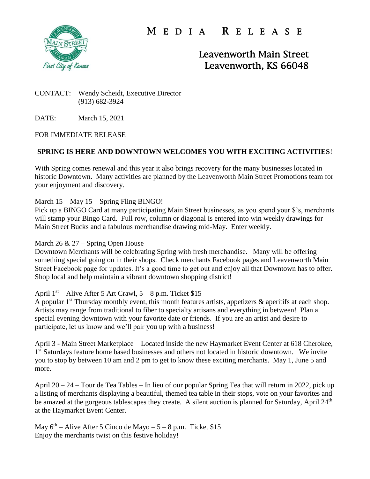

M E D I A R E L E A S E

Leavenworth Main Street Leavenworth, KS 66048

#### CONTACT: Wendy Scheidt, Executive Director (913) 682-3924

DATE: March 15, 2021

## FOR IMMEDIATE RELEASE

# **SPRING IS HERE AND DOWNTOWN WELCOMES YOU WITH EXCITING ACTIVITIES**!

With Spring comes renewal and this year it also brings recovery for the many businesses located in historic Downtown. Many activities are planned by the Leavenworth Main Street Promotions team for your enjoyment and discovery.

## March 15 – May 15 – Spring Fling BINGO!

Pick up a BINGO Card at many participating Main Street businesses, as you spend your \$'s, merchants will stamp your Bingo Card. Full row, column or diagonal is entered into win weekly drawings for Main Street Bucks and a fabulous merchandise drawing mid-May. Enter weekly.

### March 26 & 27 – Spring Open House

Downtown Merchants will be celebrating Spring with fresh merchandise. Many will be offering something special going on in their shops. Check merchants Facebook pages and Leavenworth Main Street Facebook page for updates. It's a good time to get out and enjoy all that Downtown has to offer. Shop local and help maintain a vibrant downtown shopping district!

# April  $1<sup>st</sup>$  – Alive After 5 Art Crawl, 5 – 8 p.m. Ticket \$15

A popular  $1<sup>st</sup>$  Thursday monthly event, this month features artists, appetizers  $\&$  aperitifs at each shop. Artists may range from traditional to fiber to specialty artisans and everything in between! Plan a special evening downtown with your favorite date or friends. If you are an artist and desire to participate, let us know and we'll pair you up with a business!

April 3 - Main Street Marketplace – Located inside the new Haymarket Event Center at 618 Cherokee, 1<sup>st</sup> Saturdays feature home based businesses and others not located in historic downtown. We invite you to stop by between 10 am and 2 pm to get to know these exciting merchants. May 1, June 5 and more.

April 20 – 24 – Tour de Tea Tables – In lieu of our popular Spring Tea that will return in 2022, pick up a listing of merchants displaying a beautiful, themed tea table in their stops, vote on your favorites and be amazed at the gorgeous tablescapes they create. A silent auction is planned for Saturday, April 24<sup>th</sup> at the Haymarket Event Center.

May  $6<sup>th</sup>$  – Alive After 5 Cinco de Mayo – 5 – 8 p.m. Ticket \$15 Enjoy the merchants twist on this festive holiday!